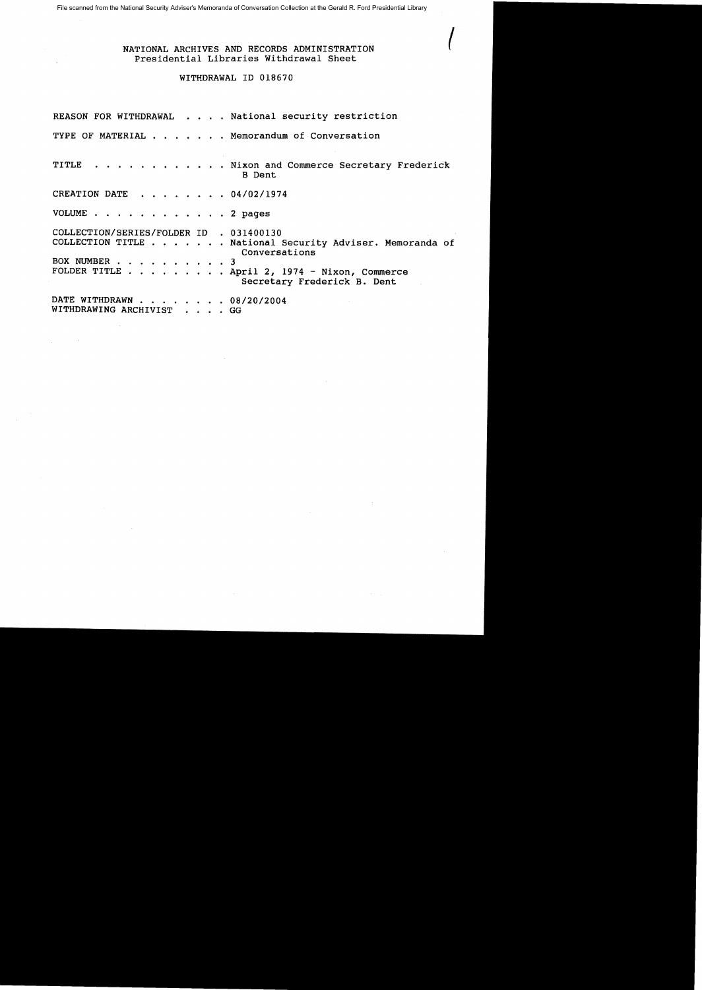File scanned from the National Security Adviser's Memoranda of Conversation Collection at the Gerald R. Ford Presidential Library

## { NATIONAL ARCHIVES AND RECORDS ADMINISTRATION Presidential Libraries Withdrawal Sheet

## WITHDRAWAL ID 018670

|                                                         | REASON FOR WITHDRAWAL National security restriction                                                                                                                 |
|---------------------------------------------------------|---------------------------------------------------------------------------------------------------------------------------------------------------------------------|
|                                                         | TYPE OF MATERIAL Memorandum of Conversation                                                                                                                         |
|                                                         | TITLE Nixon and Commerce Secretary Frederick<br><b>B</b> Dent                                                                                                       |
| CREATION DATE 04/02/1974                                |                                                                                                                                                                     |
| VOLUME 2 pages                                          |                                                                                                                                                                     |
| COLLECTION/SERIES/FOLDER ID . 031400130<br>BOX NUMBER 3 | COLLECTION TITLE National Security Adviser. Memoranda of<br>Conversations<br>FOLDER TITLE $\ldots$ , April 2, 1974 - Nixon, Commerce<br>Secretary Frederick B. Dent |
| DATE WITHDRAWN 08/20/2004<br>WITHDRAWING ARCHIVIST GG   |                                                                                                                                                                     |